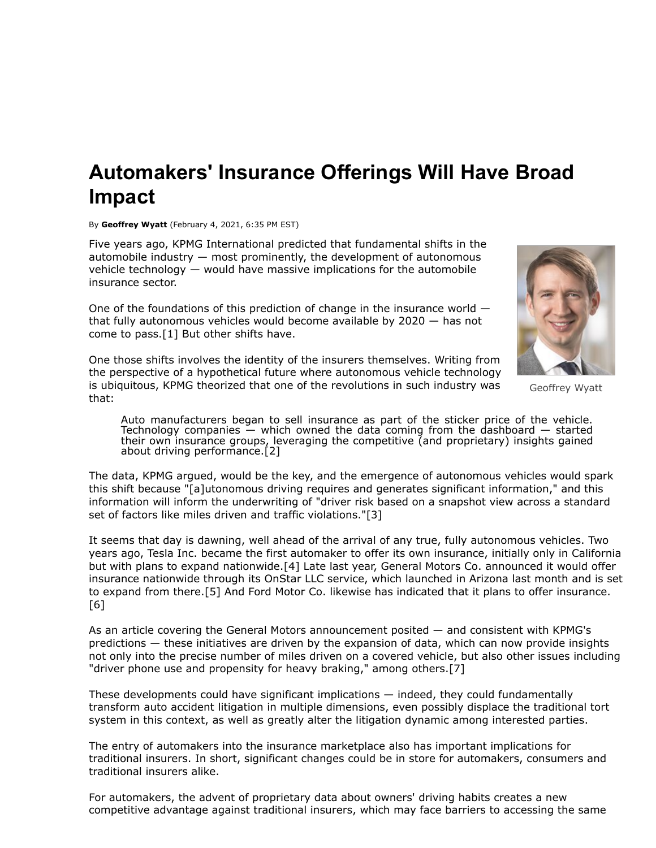## **Automakers' Insurance Offerings Will Have Broad Impact**

By **Geoffrey Wyatt** (February 4, 2021, 6:35 PM EST)

Five years ago, [KPMG International](https://www.law360.com/companies/kpmg-international) predicted that fundamental shifts in the automobile industry  $-$  most prominently, the development of autonomous vehicle technology — would have massive implications for the automobile insurance sector.

One of the foundations of this prediction of change in the insurance world that fully autonomous vehicles would become available by 2020 — has not come to pass.[1] But other shifts have.

Geoffrey Wyatt

One those shifts involves the identity of the insurers themselves. Writing from the perspective of a hypothetical future where autonomous vehicle technology is ubiquitous, KPMG theorized that one of the revolutions in such industry was that:

Auto manufacturers began to sell insurance as part of the sticker price of the vehicle. Technology companies  $-$  which owned the data coming from the dashboard  $-$  started their own insurance groups, leveraging the competitive (and proprietary) insights gained about driving performance.[2]

The data, KPMG argued, would be the key, and the emergence of autonomous vehicles would spark this shift because "[a]utonomous driving requires and generates significant information," and this information will inform the underwriting of "driver risk based on a snapshot view across a standard set of factors like miles driven and traffic violations."[3]

It seems that day is dawning, well ahead of the arrival of any true, fully autonomous vehicles. Two years ago, [Tesla Inc](https://www.law360.com/companies/tesla-inc). became the first automaker to offer its own insurance, initially only in California but with plans to expand nationwide.[4] Late last year, [General Motors Co](https://www.law360.com/companies/general-motors-co). announced it would offer insurance nationwide through its [OnStar LLC](https://www.law360.com/companies/onstar-llc) service, which launched in Arizona last month and is set to expand from there.[5] And [Ford Motor Co](https://www.law360.com/companies/ford-motor-co). likewise has indicated that it plans to offer insurance. [6]

As an article covering the General Motors announcement posited — and consistent with KPMG's predictions — these initiatives are driven by the expansion of data, which can now provide insights not only into the precise number of miles driven on a covered vehicle, but also other issues including "driver phone use and propensity for heavy braking," among others.[7]

These developments could have significant implications — indeed, they could fundamentally transform auto accident litigation in multiple dimensions, even possibly displace the traditional tort system in this context, as well as greatly alter the litigation dynamic among interested parties.

The entry of automakers into the insurance marketplace also has important implications for traditional insurers. In short, significant changes could be in store for automakers, consumers and traditional insurers alike.

For automakers, the advent of proprietary data about owners' driving habits creates a new competitive advantage against traditional insurers, which may face barriers to accessing the same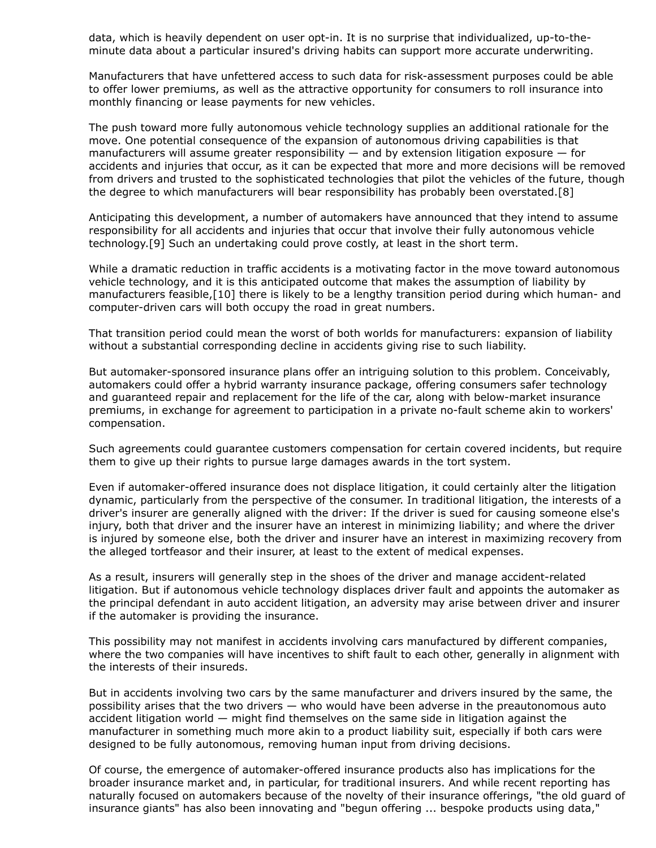data, which is heavily dependent on user opt-in. It is no surprise that individualized, up-to-theminute data about a particular insured's driving habits can support more accurate underwriting.

Manufacturers that have unfettered access to such data for risk-assessment purposes could be able to offer lower premiums, as well as the attractive opportunity for consumers to roll insurance into monthly financing or lease payments for new vehicles.

The push toward more fully autonomous vehicle technology supplies an additional rationale for the move. One potential consequence of the expansion of autonomous driving capabilities is that manufacturers will assume greater responsibility  $-$  and by extension litigation exposure  $-$  for accidents and injuries that occur, as it can be expected that more and more decisions will be removed from drivers and trusted to the sophisticated technologies that pilot the vehicles of the future, though the degree to which manufacturers will bear responsibility has probably been overstated.[8]

Anticipating this development, a number of automakers have announced that they intend to assume responsibility for all accidents and injuries that occur that involve their fully autonomous vehicle technology.[9] Such an undertaking could prove costly, at least in the short term.

While a dramatic reduction in traffic accidents is a motivating factor in the move toward autonomous vehicle technology, and it is this anticipated outcome that makes the assumption of liability by manufacturers feasible,[10] there is likely to be a lengthy transition period during which human- and computer-driven cars will both occupy the road in great numbers.

That transition period could mean the worst of both worlds for manufacturers: expansion of liability without a substantial corresponding decline in accidents giving rise to such liability.

But automaker-sponsored insurance plans offer an intriguing solution to this problem. Conceivably, automakers could offer a hybrid warranty insurance package, offering consumers safer technology and guaranteed repair and replacement for the life of the car, along with below-market insurance premiums, in exchange for agreement to participation in a private no-fault scheme akin to workers' compensation.

Such agreements could guarantee customers compensation for certain covered incidents, but require them to give up their rights to pursue large damages awards in the tort system.

Even if automaker-offered insurance does not displace litigation, it could certainly alter the litigation dynamic, particularly from the perspective of the consumer. In traditional litigation, the interests of a driver's insurer are generally aligned with the driver: If the driver is sued for causing someone else's injury, both that driver and the insurer have an interest in minimizing liability; and where the driver is injured by someone else, both the driver and insurer have an interest in maximizing recovery from the alleged tortfeasor and their insurer, at least to the extent of medical expenses.

As a result, insurers will generally step in the shoes of the driver and manage accident-related litigation. But if autonomous vehicle technology displaces driver fault and appoints the automaker as the principal defendant in auto accident litigation, an adversity may arise between driver and insurer if the automaker is providing the insurance.

This possibility may not manifest in accidents involving cars manufactured by different companies, where the two companies will have incentives to shift fault to each other, generally in alignment with the interests of their insureds.

But in accidents involving two cars by the same manufacturer and drivers insured by the same, the possibility arises that the two drivers — who would have been adverse in the preautonomous auto accident litigation world — might find themselves on the same side in litigation against the manufacturer in something much more akin to a product liability suit, especially if both cars were designed to be fully autonomous, removing human input from driving decisions.

Of course, the emergence of automaker-offered insurance products also has implications for the broader insurance market and, in particular, for traditional insurers. And while recent reporting has naturally focused on automakers because of the novelty of their insurance offerings, "the old guard of insurance giants" has also been innovating and "begun offering ... bespoke products using data,"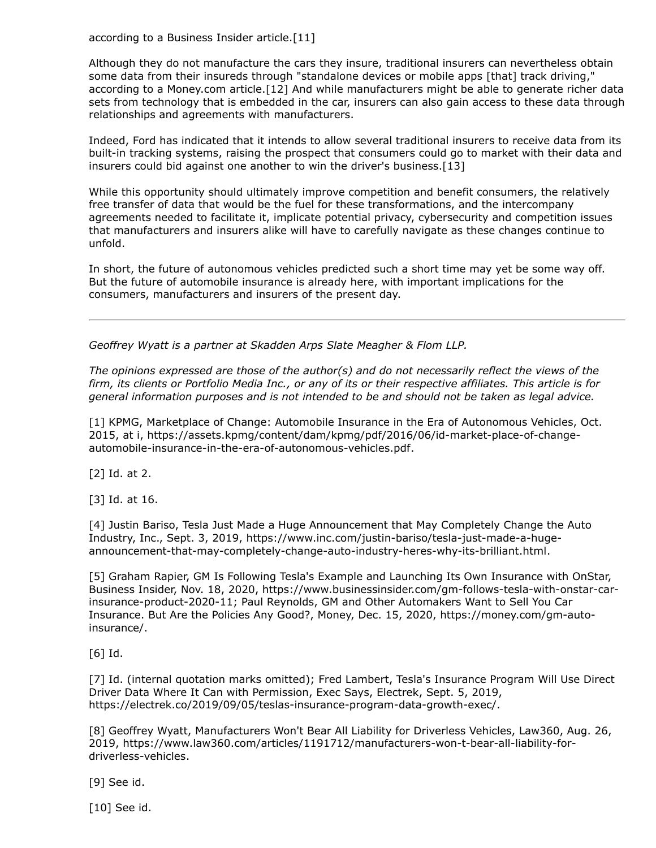according to a [Business Insider](https://www.law360.com/companies/business-insider-inc) article.[11]

Although they do not manufacture the cars they insure, traditional insurers can nevertheless obtain some data from their insureds through "standalone devices or mobile apps [that] track driving," according to a Money.com article.[12] And while manufacturers might be able to generate richer data sets from technology that is embedded in the car, insurers can also gain access to these data through relationships and agreements with manufacturers.

Indeed, Ford has indicated that it intends to allow several traditional insurers to receive data from its built-in tracking systems, raising the prospect that consumers could go to market with their data and insurers could bid against one another to win the driver's business.[13]

While this opportunity should ultimately improve competition and benefit consumers, the relatively free transfer of data that would be the fuel for these transformations, and the intercompany agreements needed to facilitate it, implicate potential privacy, cybersecurity and competition issues that manufacturers and insurers alike will have to carefully navigate as these changes continue to unfold.

In short, the future of autonomous vehicles predicted such a short time may yet be some way off. But the future of automobile insurance is already here, with important implications for the consumers, manufacturers and insurers of the present day.

*[Geoffrey Wyatt](https://www.skadden.com/professionals/w/wyatt-geoffrey-m) is a partner at [Skadden Arps Slate Meagher & Flom LLP](https://www.law360.com/firms/skadden-arps).*

*The opinions expressed are those of the author(s) and do not necessarily reflect the views of the firm, its clients or Portfolio Media Inc., or any of its or their respective affiliates. This article is for general information purposes and is not intended to be and should not be taken as legal advice.*

[1] KPMG, Marketplace of Change: Automobile Insurance in the Era of Autonomous Vehicles, Oct. [2015, at i, https://assets.kpmg/content/dam/kpmg/pdf/2016/06/id-market-place-of-change](https://assets.kpmg/content/dam/kpmg/pdf/2016/06/id-market-place-of-change-automobile-insurance-in-the-era-of-autonomous-vehicles.pdf)automobile-insurance-in-the-era-of-autonomous-vehicles.pdf.

[2] Id. at 2.

[3] Id. at 16.

[4] Justin Bariso, Tesla Just Made a Huge Announcement that May Completely Change the Auto [Industry, Inc., Sept. 3, 2019, https://www.inc.com/justin-bariso/tesla-just-made-a-huge](https://www.inc.com/justin-bariso/tesla-just-made-a-huge-announcement-that-may-completely-change-auto-industry-heres-why-its-brilliant.html)announcement-that-may-completely-change-auto-industry-heres-why-its-brilliant.html.

[5] Graham Rapier, GM Is Following Tesla's Example and Launching Its Own Insurance with OnStar, [Business Insider, Nov. 18, 2020, https://www.businessinsider.com/gm-follows-tesla-with-onstar-car](https://www.businessinsider.com/gm-follows-tesla-with-onstar-car-insurance-product-2020-11)insurance-product-2020-11; Paul Reynolds, GM and Other Automakers Want to Sell You Car [Insurance. But Are the Policies Any Good?, Money, Dec. 15, 2020, https://money.com/gm-auto](https://money.com/gm-auto-insurance/)insurance/.

[6] Id.

[7] Id. (internal quotation marks omitted); Fred Lambert, Tesla's Insurance Program Will Use Direct Driver Data Where It Can with Permission, Exec Says, Electrek, Sept. 5, 2019, [https://electrek.co/2019/09/05/teslas-insurance-program-data-growth-exec/.](https://electrek.co/2019/09/05/teslas-insurance-program-data-growth-exec/)

[8] Geoffrey Wyatt, Manufacturers Won't Bear All Liability for Driverless Vehicles, Law360, Aug. 26, [2019, https://www.law360.com/articles/1191712/manufacturers-won-t-bear-all-liability-for](https://www.law360.com/articles/1191712/manufacturers-won-t-bear-all-liability-for-driverless-vehicles)driverless-vehicles.

[9] See id.

[10] See id.